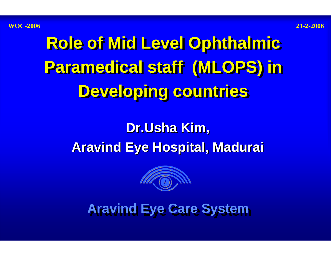**Role of Mid Level Ophthalmic Role of Mid Level Ophthalmic Paramedical staff (MLOPS) in Paramedical staff (MLOPS) in Developing countries Developing countries** 

# **Dr.Usha Kim, Dr.Usha Kim, Aravind Eye Hospital, Madurai Aravind Eye Hospital, Madurai**



**Aravind Eye Care System Aravind Eye Care System**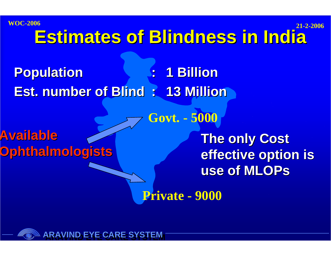**21-2-2006Estimates of Blindness in India Estimates of Blindness in India Population Population : 1 Billion 1 Billion Est. number of Blind Est. number of Blind : 13 Million 13 Million Available vailable Ophthalmologists phthalmologists Govt. - 5000 The only Cost effective option is use of MLOPs**

**Private - 9000**

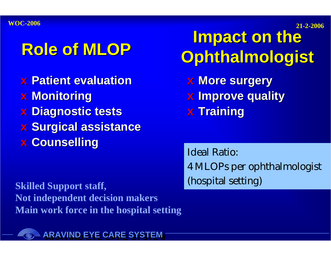# **Ophthalmologist Role of MLOP Role of MLOP Ophthalmologist**

- x **Patient evaluation Patient evaluation**
- <sup>x</sup> **Monitoring Monitoring**
- **∉ Diagnostic tests**
- <sup>x</sup> **Surgical assistance Surgical assistance**
- Counselling<br>
 Counselling<br>
Ideal Ratio:

(hospital setting) **Skilled Support staff, Not independent decision makers Main work force in the hospital setting**

4 MLOPs per ophthalmologist

**Impact on the** 

**∉ More surgery** 

<sup>x</sup> **Training Training**

<sup>x</sup> **Improve quality Improve quality**



**ARAVIND EYE CARE SYSTEM ARAVIND EYE CARE SYSTEM ARAVIND EYE CARE SYSTEM**

**21-2-2006**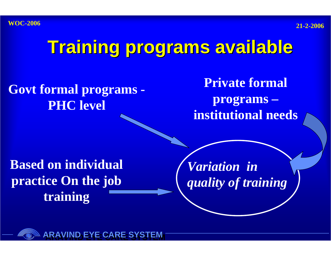**21-2-2006**

# **Training programs available Training programs available**

**Govt formal programs - PHC level**

**Private formal programs – institutional needs**

**Based on individual practice On the job training**

*Variation in quality of training*

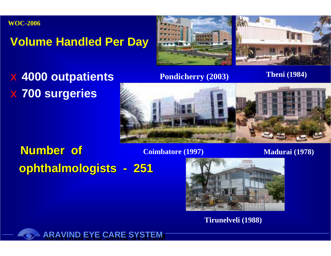# **Volume Handled Per Day**



<sup>x</sup> **4000 outpatients** <sup>x</sup> **700 surgeries**

**Pondicherry (2003) Theni (1984)**



**Number of Number of ophthalmologists ophthalmologists - 251**

**Coimbatore (1997)**

**Madurai (1978)**



**Tirunelveli (1988)**

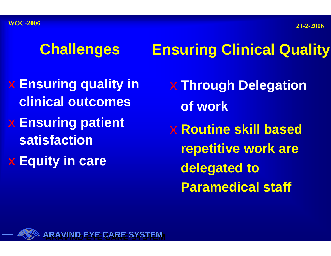# **Challenges Ensuring Clinical Quality**

- <sup>x</sup> **Ensuring quality in clinical outcomes**
- <sup>x</sup> **Ensuring patient satisfaction**
- <sup>x</sup> **Equity in care**
- <sup>x</sup> **Through Delegation of work**
- x **Routine skill based repetitive work are delegated to Paramedical staff**

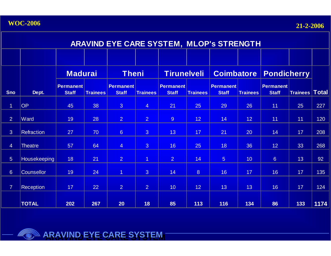| <b>ARAVIND EYE CARE SYSTEM, MLOP's STRENGTH</b> |                   |                                  |                 |                                  |                 |                                  |                 |                                  |                 |                                  |                 |              |
|-------------------------------------------------|-------------------|----------------------------------|-----------------|----------------------------------|-----------------|----------------------------------|-----------------|----------------------------------|-----------------|----------------------------------|-----------------|--------------|
|                                                 |                   |                                  |                 |                                  |                 |                                  |                 |                                  |                 |                                  |                 |              |
|                                                 |                   | <b>Madurai</b>                   |                 | <b>Theni</b>                     |                 | <b>Tirunelveli</b>               |                 | <b>Coimbatore</b>                |                 | <b>Pondicherry</b>               |                 |              |
| <b>Sno</b>                                      | Dept.             | <b>Permanent</b><br><b>Staff</b> | <b>Trainees</b> | <b>Permanent</b><br><b>Staff</b> | <b>Trainees</b> | <b>Permanent</b><br><b>Staff</b> | <b>Trainees</b> | <b>Permanent</b><br><b>Staff</b> | <b>Trainees</b> | <b>Permanent</b><br><b>Staff</b> | <b>Trainees</b> | <b>Total</b> |
| $\overline{1}$                                  | <b>OP</b>         | 45                               | 38              | 3                                | $\overline{4}$  | 21                               | 25              | 29                               | 26              | 11                               | 25              | 227          |
| $\overline{2}$                                  | Ward              | 19                               | 28              | $\overline{2}$                   | 2 <sup>1</sup>  | 9 <sup>°</sup>                   | 12              | 14                               | 12 <sup>°</sup> | 11                               | 11              | 120          |
| $\mathbf{3}$                                    | Refraction        | 27                               | 70              | 6 <sup>1</sup>                   | 3 <sup>°</sup>  | 13 <sup>°</sup>                  | 17              | 21                               | 20              | 14                               | 17              | 208          |
| $\overline{4}$                                  | <b>Theatre</b>    | 57                               | 64              | $\overline{4}$                   | 3 <sup>°</sup>  | 16 <sup>°</sup>                  | 25              | 18                               | 36              | 12 <sup>°</sup>                  | 33              | 268          |
| 5 <sub>5</sub>                                  | Housekeeping      | 18                               | 21              | 2                                | $\overline{1}$  | $\overline{2}$                   | 14              | 5 <sup>5</sup>                   | 10              | $6 \overline{6}$                 | 13              | 92           |
| 6 <sup>°</sup>                                  | <b>Counsellor</b> | 19                               | 24              | $\overline{1}$                   | $\mathbf{3}$    | 14                               | 8               | 16                               | 17              | 16                               | 17              | 135          |
| $\overline{7}$                                  | <b>Reception</b>  | 17                               | 22              | $\overline{2}$                   | $\overline{2}$  | 10 <sup>°</sup>                  | 12              | 13 <sup>°</sup>                  | 13              | 16                               | 17              | 124          |
|                                                 | <b>TOTAL</b>      | 202                              | 267             | 20                               | 18              | 85                               | 113             | 116                              | 134             | 86                               | 133             | 1174         |

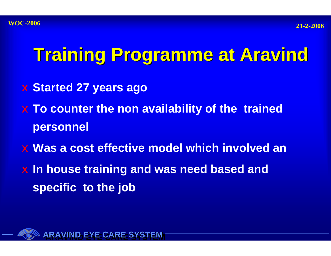# **Training Programme at Aravind Training Programme at Aravind**

- <sup>x</sup> **Started 27 years ago**
- <sup>x</sup> **To counter the non availability of the trained personnel**
- x **Was a cost effective model which involved an**
- <sup>x</sup> **In house training and was need based and specific to the job**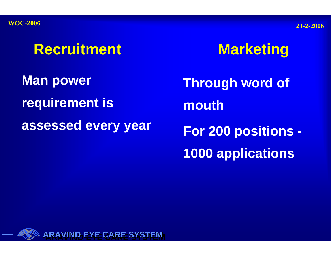# **Recruitment Marketing**

**Man power requirement is assessed every year**

**Through word of mouth**

**For 200 positions - 1000 applications**

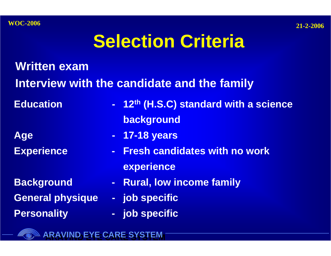# **Selection Criteria**

# **Written exam**

**Interview with the candidate and the family**

**General physique - job specific Personality - job specific**

**Education - 12th (H.S.C) standard with a science background**

- **Age - 17-18 years**
- **Experience - Fresh candidates with no work experience**
- **Background - Rural, low income family**
	-
	-

**ARAVIND EYE CARE SYSTEM ARAVIND EYE CARE SYSTEM ARAVIND EYE CARE SYSTEM**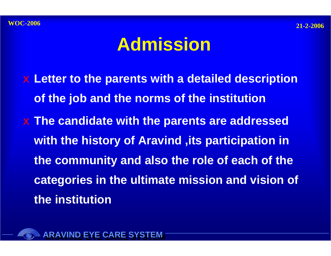# **Admission**

- <sup>x</sup> **Letter to the parents with a detailed description of the job and the norms of the institution**
- <sup>x</sup> **The candidate with the parents are addressed with the history of Aravind ,its participation in the community and also the role of each of the categories in the ultimate mission and vision of the institution**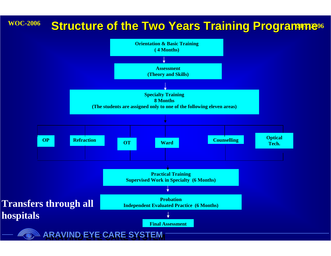### **WOC-2006Structure of the Two Years Training Programme<sup>06</sup>**

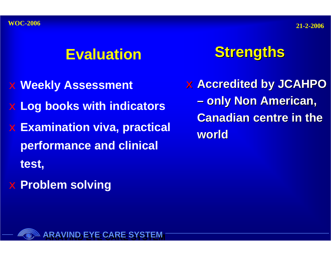# **Evaluation**

- <sup>x</sup> **Weekly Assessment**
- <sup>x</sup> **Log books with indicators**
- <sup>x</sup> **Examination viva, practical performance and clinical test,**
- <sup>x</sup> **Problem solving**

# **Strengths Strengths**

**E Accredited by JCAHPO –**<u>— only Non American,</u> **Canadian centre in the worldworld**

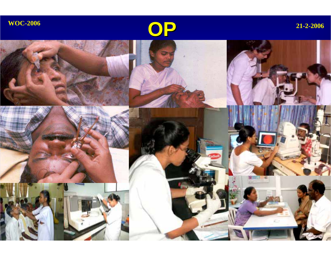



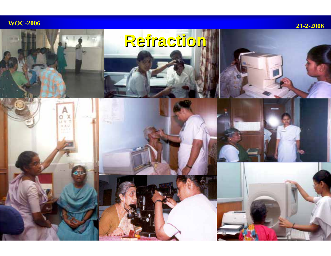**21-2-2006**

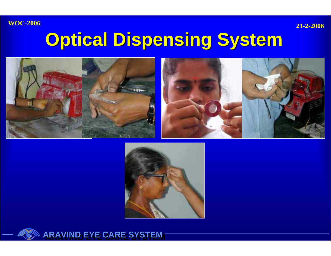**21-2-2006**

# **Optical Dispensing System Optical Dispensing System**





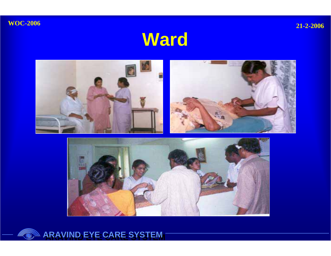**21-2-2006**

# **Ward**



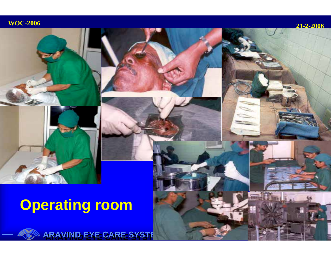**21-2-2006**

# **Operating room**

**ARAVIND EYE CARE SYSTEM ARAVIND EYE CARE SYSTEM ARAVIND EYE CARE SYSTEM**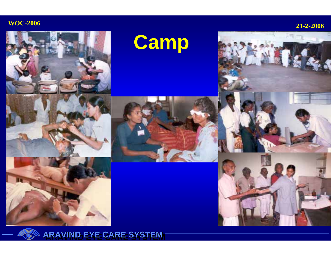

**ARAVIND EYE CARE SYSTEM ARAVIND EYE CARE SYSTEM ARAVIND EYE CARE SYSTEM**



**Camp**



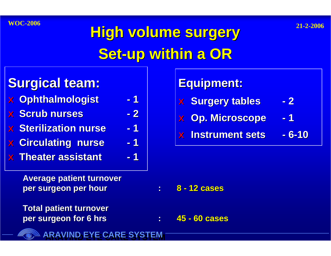# **21-2-2006 High volume surgery High volume surgery Set-up within a OR up within a OR**

# **Surgical team: Surgical team:**

- <sup>x</sup> **Ophthalmologist Ophthalmologist - 1**
- **z** Scrub nurses 2
- x **Sterilization nurse Sterilization nurse**
- <sup>x</sup> **Circulating nurse Circulating nurse - 1**
- x **Theater assistant Theater assistant - 1**

**Average patient turnover per surgeon per hour per surgeon per hour : 8 - 12 cases 12 cases**

**Total patient turnover** 

**- 1**

**per surgeon for 6 hrs per surgeon for 6 hrs : 45 - 60 cases 60 cases**

**ARAVIND EYE CARE SYSTEM ARAVIND EYE CARE SYSTEM ARAVIND EYE CARE SYSTEM**

# **Equipment: Equipment:**

- **∉ Surgery tables -2**
- <sup>x</sup> **Op. Microscope Op. Microscope - 1**
- x **Instrument sets Instrument sets- 6-10**

- 
-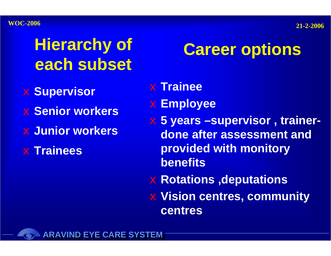# **Hierarchy of Example 2014 Career options**<br> **Career options**

- <sup>x</sup> **Supervisor**
- x **Senior workers**
- x **Junior workers**
- x **Trainees**

- x **Trainee**
- <sup>x</sup> **Employee**
- <sup>x</sup> **5 years –supervisor , trainerdone after assessment and provided with monitory benefits**
- <sup>x</sup> **Rotations ,deputations**
- **∉ Vision centres, community centres**

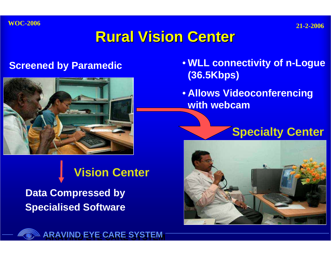**21-2-2006**

# **Rural Vision Center Rural Vision Center**

## **Screened by Paramedic**



# **Vision Center**

# **Data Compressed by Specialised Software**

- **WLL connectivity of n-Logue (36.5Kbps)**
- **Allows Videoconferencing with webcam**

# **Specialty Center**





**ARAVIND EYE CARE SYSTEM ARAVIND EYE CARE SYSTEM ARAVIND EYE CARE SYSTEM**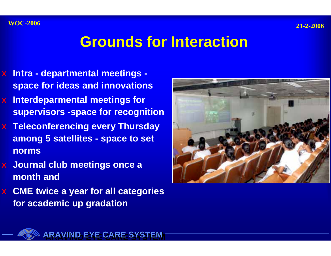# **Grounds for Interaction**

- <sup>x</sup> **Intra - departmental meetings space for ideas and innovations**
- <sup>x</sup> **Interdeparmental meetings for supervisors -space for recognition**
- <sup>x</sup> **Teleconferencing every Thursday among 5 satellites - space to set norms**
- <sup>x</sup> **Journal club meetings once a month and**
- <sup>x</sup> **CME twice a year for all categories for academic up gradation**



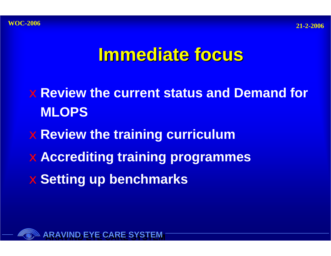# **Immediate focus Immediate focus**

- x **Review the current status and Demand for MLOPS**
- **⊭ Review the training curriculum**
- <sup>x</sup> **Accrediting training programmes**
- <sup>x</sup> **Setting up benchmarks**

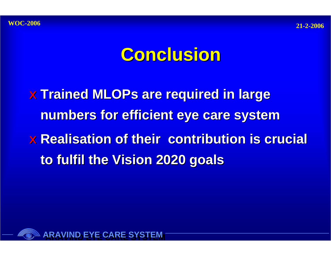# **Conclusion Conclusion**

x **Trained Trained MLOPs are required in large are required in large numbers for efficient eye care system numbers for efficient eye care system ∉ Realisation of their contribution is crucial to fulfil the Vision 2020 goals the Vision 2020 goals**